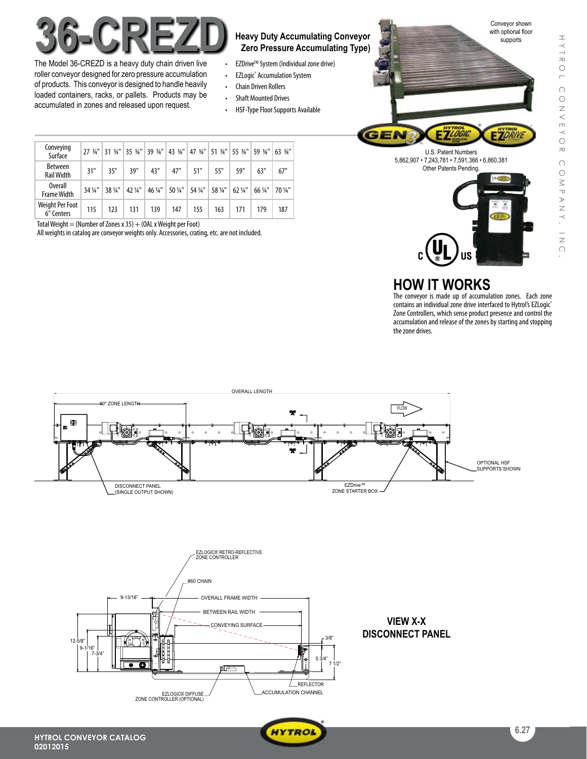

The Model 36-CREZD is a heavy duty chain driven live roller conveyor designed for zero pressure accumulation of products. This conveyor is designed to handle heavily loaded containers, racks, or pallets. Products may be accumulated in zones and released upon request.

# **Zero Pressure Accumulating Type)**

- **EZDrive™ System (Individual zone drive)**
- EZLogic® Accumulation System
- • Chain Driven Rollers
- • Shaft Mounted Drives
- HSF-Type Floor Supports Available

|  | Conveying<br>Surface                 | $27.34$ "       | $31 \frac{3}{4}$ " | 3534"   | $39\frac{3}{4}$ " |         | 43 34" 47 34" 51 34" 55 34" |         |                   | 59 3/4" | 63 3/4" |
|--|--------------------------------------|-----------------|--------------------|---------|-------------------|---------|-----------------------------|---------|-------------------|---------|---------|
|  | <b>Between</b><br><b>Rail Width</b>  | 31"             | 35"                | 39"     | 43"               | 47"     | 51"                         | 55"     | 59"               | 63"     | 67"     |
|  | <b>Overall</b><br><b>Frame Width</b> | $34\frac{1}{4}$ | 38 1/4"            | 42 1/4" | 46 1/4"           | 50 1/4" | 54 1/4"                     | 58 1/4" | $62\frac{1}{4}$ " | 66 1/4" | 70 1/4" |
|  | Weight Per Foot<br>6" Centers        | 115             | 123                | 131     | 139               | 147     | 155                         | 163     | 171               | 179     | 187     |

Total Weight = (Number of Zones x 35) + (OAL x Weight per Foot)

All weights in catalog are conveyor weights only. Accessories, crating, etc. are not included.





## **HOW IT WORKS**

The conveyor is made up of accumulation zones. Each zone contains an individual zone drive interfaced to Hytrol's EZLogic® Zone Controllers, which sense product presence and control the accumulation and release of the zones by starting and stopping the zone drives.





 $V_{\rm{max}}$ 



 $\sim$  (DUAL)  $\sim$